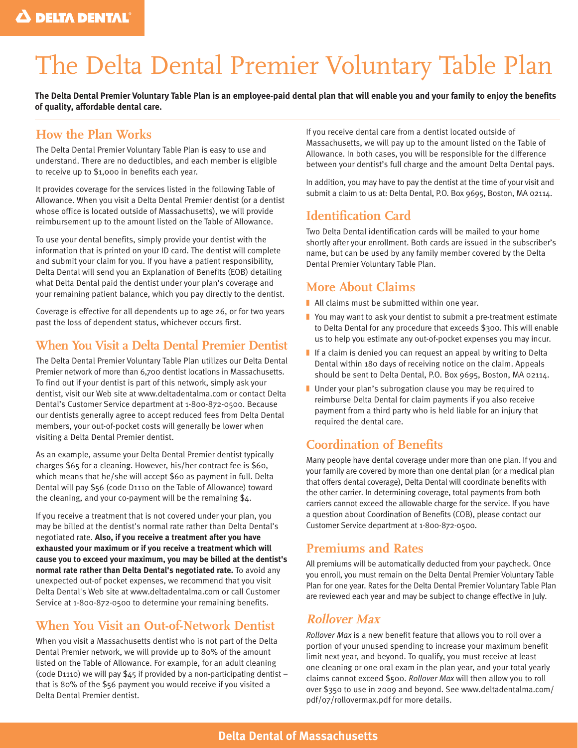# The Delta Dental Premier Voluntary Table Plan

**The Delta Dental Premier Voluntary Table Plan is an employee-paid dental plan that will enable you and your family to enjoy the benefits of quality, affordable dental care.**

## **How the Plan Works**

The Delta Dental Premier Voluntary Table Plan is easy to use and understand. There are no deductibles, and each member is eligible to receive up to \$1,000 in benefits each year.

It provides coverage for the services listed in the following Table of Allowance. When you visit a Delta Dental Premier dentist (or a dentist whose office is located outside of Massachusetts), we will provide reimbursement up to the amount listed on the Table of Allowance.

To use your dental benefits, simply provide your dentist with the information that is printed on your ID card. The dentist will complete and submit your claim for you. If you have a patient responsibility, Delta Dental will send you an Explanation of Benefits (EOB) detailing what Delta Dental paid the dentist under your plan's coverage and your remaining patient balance, which you pay directly to the dentist.

Coverage is effective for all dependents up to age 26, or for two years past the loss of dependent status, whichever occurs first.

## **When You Visit a Delta Dental Premier Dentist**

The Delta Dental Premier Voluntary Table Plan utilizes our Delta Dental Premier network of more than 6,700 dentist locations in Massachusetts. To find out if your dentist is part of this network, simply ask your dentist, visit our Web site at www.deltadentalma.com or contact Delta Dental's Customer Service department at 1-800-872-0500. Because our dentists generally agree to accept reduced fees from Delta Dental members, your out-of-pocket costs will generally be lower when visiting a Delta Dental Premier dentist.

As an example, assume your Delta Dental Premier dentist typically charges \$65 for a cleaning. However, his/her contract fee is \$60, which means that he/she will accept \$60 as payment in full. Delta Dental will pay \$56 (code D1110 on the Table of Allowance) toward the cleaning, and your co-payment will be the remaining \$4.

If you receive a treatment that is not covered under your plan, you may be billed at the dentist's normal rate rather than Delta Dental's negotiated rate. **Also, if you receive a treatment after you have exhausted your maximum or if you receive a treatment which will cause you to exceed your maximum, you may be billed at the dentist's normal rate rather than Delta Dental's negotiated rate.** To avoid any unexpected out-of pocket expenses, we recommend that you visit Delta Dental's Web site at www.deltadentalma.com or call Customer Service at 1-800-872-0500 to determine your remaining benefits.

## **When You Visit an Out-of-Network Dentist**

When you visit a Massachusetts dentist who is not part of the Delta Dental Premier network, we will provide up to 80% of the amount listed on the Table of Allowance. For example, for an adult cleaning (code D1110) we will pay  $$45$  if provided by a non-participating dentist – that is 80% of the \$56 payment you would receive if you visited a Delta Dental Premier dentist.

If you receive dental care from a dentist located outside of Massachusetts, we will pay up to the amount listed on the Table of Allowance. In both cases, you will be responsible for the difference between your dentist's full charge and the amount Delta Dental pays.

In addition, you may have to pay the dentist at the time of your visit and submit a claim to us at: Delta Dental, P.O. Box 9695, Boston, MA 02114.

## **Identification Card**

Two Delta Dental identification cards will be mailed to your home shortly after your enrollment. Both cards are issued in the subscriber's name, but can be used by any family member covered by the Delta Dental Premier Voluntary Table Plan.

### **More About Claims**

- All claims must be submitted within one year.
- You may want to ask your dentist to submit a pre-treatment estimate to Delta Dental for any procedure that exceeds \$300. This will enable us to help you estimate any out-of-pocket expenses you may incur.
- If a claim is denied you can request an appeal by writing to Delta Dental within 180 days of receiving notice on the claim. Appeals should be sent to Delta Dental, P.O. Box 9695, Boston, MA 02114.
- Under your plan's subrogation clause you may be required to reimburse Delta Dental for claim payments if you also receive payment from a third party who is held liable for an injury that required the dental care.

## **Coordination of Benefits**

Many people have dental coverage under more than one plan. If you and your family are covered by more than one dental plan (or a medical plan that offers dental coverage), Delta Dental will coordinate benefits with the other carrier. In determining coverage, total payments from both carriers cannot exceed the allowable charge for the service. If you have a question about Coordination of Benefits (COB), please contact our Customer Service department at 1-800-872-0500.

## **Premiums and Rates**

All premiums will be automatically deducted from your paycheck. Once you enroll, you must remain on the Delta Dental Premier Voluntary Table Plan for one year. Rates for the Delta Dental Premier Voluntary Table Plan are reviewed each year and may be subject to change effective in July.

## **Rollover Max**

*Rollover Max* is a new benefit feature that allows you to roll over a portion of your unused spending to increase your maximum benefit limit next year, and beyond. To qualify, you must receive at least one cleaning or one oral exam in the plan year, and your total yearly claims cannot exceed \$500. *Rollover Max* will then allow you to roll over \$350 to use in 2009 and beyond. See www.deltadentalma.com/ pdf/07/rollovermax.pdf for more details.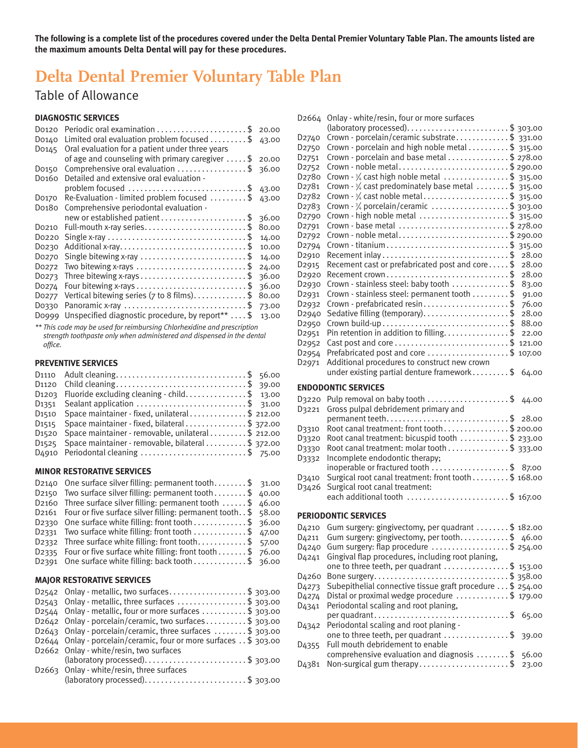**The following is a complete list of the procedures covered under the Delta Dental Premier Voluntary Table Plan. The amounts listed are the maximum amounts Delta Dental will pay for these procedures.**

## **Delta Dental Premier Voluntary Table Plan**

## Table of Allowance

### **DIAGNOSTIC SERVICES**

| Do120                                                                                         | 20.00 |
|-----------------------------------------------------------------------------------------------|-------|
| Limited oral evaluation problem focused $\ldots \ldots \ldots$<br>D0140                       | 43.00 |
| Oral evaluation for a patient under three years<br>Do <sub>145</sub>                          |       |
| of age and counseling with primary caregiver $\dots$ .                                        | 20.00 |
| Comprehensive oral evaluation $\dots\dots\dots\dots\dots\dots$<br>Do <sub>150</sub>           | 36.00 |
| Detailed and extensive oral evaluation -<br>Do <sub>160</sub>                                 |       |
| problem focused $\ldots$ \$                                                                   | 43.00 |
| Re-Evaluation - limited problem focused $\ldots \ldots$ . \$<br>Do <sub>170</sub>             | 43.00 |
| Comprehensive periodontal evaluation -<br>Do <sub>180</sub>                                   |       |
|                                                                                               | 36.00 |
| Do <sub>210</sub>                                                                             | 80.00 |
| Do220                                                                                         | 14.00 |
| Additional x-ray\$<br>Do230                                                                   | 10.00 |
| Single bitewing x-ray \$<br>Do <sub>270</sub>                                                 | 14.00 |
| Two bitewing x-rays $\dots\dots\dots\dots\dots\dots\dots\dots\dots\dots$<br>Do <sub>272</sub> | 24.00 |
| Do273                                                                                         | 36.00 |
| Do274                                                                                         | 36.00 |
| Vertical bitewing series ( $7$ to 8 films)\$<br>Do <sub>277</sub>                             | 80.00 |
| Panoramic x-ray \$<br>Do330                                                                   | 73.00 |
| Unspecified diagnostic procedure, by report** \$<br>D0999                                     | 13.00 |

*\*\* This code may be used for reimbursing Chlorhexidine and prescription strength toothpaste only when administered and dispensed in the dental office.*

### **PREVENTIVE SERVICES**

| D1110 Adult cleaning\$ 56.00                                               |  |
|----------------------------------------------------------------------------|--|
| D1120 Child cleaning\$ 39.00                                               |  |
| D1203 Fluoride excluding cleaning - child\$ 13.00                          |  |
| D <sub>1351</sub> Sealant application \$ 31.00                             |  |
| D <sub>15</sub> 10 Space maintainer - fixed, unilateral\$ 212.00           |  |
| D <sub>15</sub> <sup>15</sup> Space maintainer - fixed, bilateral\$ 372.00 |  |
| D1520 Space maintainer - removable, unilateral \$ 212.00                   |  |
| D <sub>1525</sub> Space maintainer - removable, bilateral \$ 372.00        |  |
| D4910 Periodontal cleaning \$ 75.00                                        |  |

### **MINOR RESTORATIVE SERVICES**

| D2140 One surface silver filling: permanent tooth\$ 31.00                       |  |
|---------------------------------------------------------------------------------|--|
| D2150 Two surface silver filling: permanent tooth\$ 40.00                       |  |
| D2160 Three surface silver filling: permanent tooth $\dots$ . \$ 46.00          |  |
| D2161 Four or five surface silver filling: permanent tooth. $\frac{1}{2}$ 58.00 |  |
| D2330 One surface white filling: front tooth \$ 36.00                           |  |
| D2331 Two surface white filling: front tooth \$ 47.00                           |  |
| D2332 Three surface white filling: front tooth\$ 57.00                          |  |
| D2335 Four or five surface white filling: front tooth $$76.00$                  |  |
| D2391 One surface white filling: back tooth \$ 36.00                            |  |
|                                                                                 |  |

### **MAJOR RESTORATIVE SERVICES**

| D2542 Onlay - metallic, two surfaces\$ 303.00                                |
|------------------------------------------------------------------------------|
| D2543 Onlay - metallic, three surfaces $\dots\dots\dots\dots\dots$ \$ 303.00 |
| D2544 Onlay - metallic, four or more surfaces $\dots\dots\dots$ \$ 303.00    |
| D2642 Onlay - porcelain/ceramic, two surfaces\$ 303.00                       |
| D2643 Onlay - porcelain/ceramic, three surfaces $\dots\dots\dots$ 303.00     |
| D2644 Onlay - porcelain/ceramic, four or more surfaces $.$ \$ 303.00         |
| D2662 Onlay - white/resin, two surfaces                                      |
| $\alpha$ (laboratory processed)\$ 303.00                                     |
| D2663 Onlay - white/resin, three surfaces                                    |
|                                                                              |

| D <sub>2664</sub>              | Onlay - white/resin, four or more surfaces                                             |                |
|--------------------------------|----------------------------------------------------------------------------------------|----------------|
|                                |                                                                                        |                |
| D <sub>2740</sub>              | Crown - porcelain/ceramic substrate\$ 331.00                                           |                |
| D <sub>2750</sub>              | Crown - porcelain and high noble metal \$ 315.00                                       |                |
| D <sub>2751</sub>              | Crown - porcelain and base metal \$ 278.00                                             |                |
| D <sub>2752</sub>              | Crown - noble metal\$ 290.00                                                           |                |
| D <sub>27</sub> 80             | Crown - 3/4 cast high noble metal \$ 315.00                                            |                |
| D <sub>27</sub> 81             | Crown - $\frac{3}{4}$ cast predominately base metal \$ 315.00                          |                |
| D <sub>27</sub> 8 <sub>2</sub> | Crown $-3/4$ cast noble metal\$ 315.00                                                 |                |
| D <sub>27</sub> 83             | Crown - $\frac{3}{4}$ porcelain/ceramic \$ 303.00                                      |                |
| D <sub>2790</sub>              | Crown - high noble metal \$ 315.00                                                     |                |
| D <sub>2791</sub>              | Crown - base metal \$ 278.00                                                           |                |
| D <sub>2792</sub>              | Crown - noble metal\$ 290.00                                                           |                |
| D <sub>2794</sub>              |                                                                                        |                |
| D <sub>2910</sub>              | Recement inlay \$                                                                      | 28.00          |
| D <sub>2915</sub>              | Recement cast or prefabricated post and core\$                                         | 28.00          |
| D <sub>2920</sub>              | Recement crown\$                                                                       | 28.00          |
| D <sub>2930</sub>              | Crown - stainless steel: baby tooth \$                                                 | 83.00          |
| D <sub>2931</sub>              | Crown - stainless steel: permanent tooth \$                                            | 91.00          |
|                                | Crown - prefabricated resin\$                                                          | 76.00          |
| D <sub>2932</sub>              |                                                                                        | 28.00          |
| D <sub>2940</sub>              |                                                                                        | 88.00          |
| D <sub>2950</sub>              |                                                                                        |                |
| D <sub>2951</sub>              | Pin retention in addition to filling\$                                                 | 22.00          |
| D <sub>2952</sub>              |                                                                                        |                |
| D <sub>2954</sub>              | Prefabricated post and core \$ 107.00                                                  |                |
| D <sub>2971</sub>              | Additional procedures to construct new crown                                           |                |
|                                | under existing partial denture framework\$                                             | 64.00          |
|                                | <b>ENDODONTIC SERVICES</b>                                                             |                |
|                                |                                                                                        |                |
|                                |                                                                                        |                |
| D3220                          | Pulp removal on baby tooth \$ 44.00                                                    |                |
| D3221                          | Gross pulpal debridement primary and                                                   |                |
|                                |                                                                                        |                |
| D3310                          | Root canal treatment: front tooth\$200.00                                              |                |
| D3320                          | Root canal treatment: bicuspid tooth \$ 233.00                                         |                |
| D3330                          | Root canal treatment: molar tooth \$ 333.00                                            |                |
| D3332                          | Incomplete endodontic therapy;                                                         |                |
|                                | inoperable or fractured tooth \$ 87.00                                                 |                |
| D3410                          | Surgical root canal treatment: front tooth \$ 168.00                                   |                |
| D3426                          | Surgical root canal treatment:                                                         |                |
|                                | each additional tooth \$ 167.00                                                        |                |
|                                | <b>PERIODONTIC SERVICES</b>                                                            |                |
|                                |                                                                                        |                |
|                                | D4210 Gum surgery: gingivectomy, per quadrant \$ 182.00                                |                |
|                                | D4211 Gum surgery: gingivectomy, per tooth\$ 46.00                                     |                |
| D <sub>4240</sub>              | Gum surgery: flap procedure $\ldots \ldots \ldots \ldots$ \$ 254.00                    |                |
| D <sub>4241</sub>              | Gingival flap procedures, including root planing,                                      |                |
|                                | one to three teeth, per quadrant \$ 153.00                                             |                |
| D <sub>4260</sub>              | Bone surgery\$ 358.00                                                                  |                |
| D <sub>4273</sub>              | Subepithelial connective tissue graft procedure \$ 254.00                              |                |
| D <sub>4274</sub>              | Distal or proximal wedge procedure \$ 179.00                                           |                |
| D <sub>4341</sub>              | Periodontal scaling and root planing,                                                  |                |
|                                | per quadrant\$                                                                         | 65.00          |
| D <sub>4342</sub>              | Periodontal scaling and root planing -                                                 |                |
|                                | one to three teeth, per quadrant \$                                                    | 39.00          |
| D <sub>4355</sub>              | Full mouth debridement to enable                                                       |                |
| D <sub>43</sub> 81             | comprehensive evaluation and diagnosis $\dots\dots\dots$<br>Non-surgical gum therapy\$ | 56.00<br>23.00 |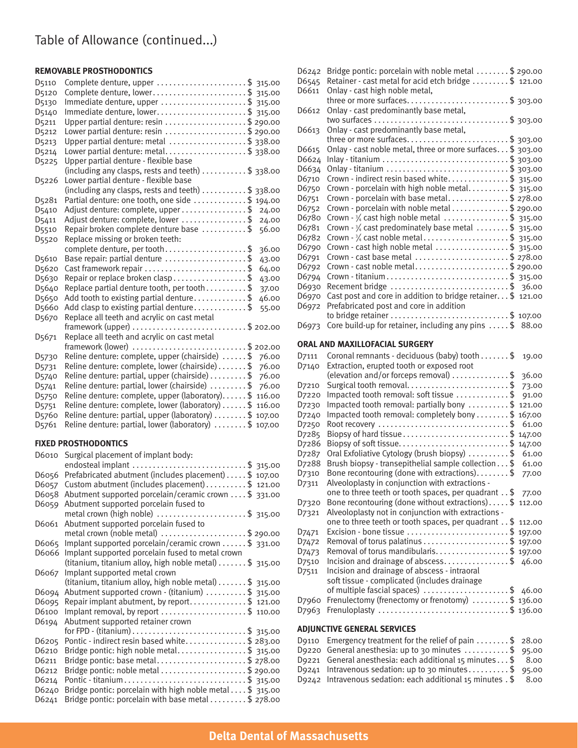## Table of Allowance (continued...)

### **REMOVABLE PROSTHODONTICS**

| D <sub>5110</sub>  | Complete denture, upper \$ 315.00                                          |
|--------------------|----------------------------------------------------------------------------|
| D <sub>5120</sub>  | Complete denture, lower\$ 315.00                                           |
| D5130              | Immediate denture, upper \$ 315.00                                         |
| D5140              | Immediate denture, lower\$ 315.00                                          |
| D <sub>5211</sub>  | Upper partial denture: resin \$ 290.00                                     |
| D <sub>5212</sub>  | Lower partial denture: resin \$ 290.00                                     |
| D <sub>5213</sub>  | Upper partial denture: metal \$ 338.00                                     |
| D <sub>5214</sub>  | Lower partial denture: metal\$ 338.00                                      |
| D <sub>5225</sub>  | Upper partial denture - flexible base                                      |
|                    | (including any clasps, rests and teeth) \$ 338.00                          |
| D <sub>5226</sub>  | Lower partial denture - flexible base                                      |
|                    | (including any clasps, rests and teeth) $\dots\dots\dots$ \$ 338.00        |
| D <sub>52</sub> 81 | Partial denture: one tooth, one side \$ 194.00                             |
| D <sub>5410</sub>  | Adjust denture: complete, upper \$<br>24.00                                |
| D <sub>5411</sub>  | Adjust denture: complete, lower \$<br>24.00                                |
| D5510              | Repair broken complete denture base \$<br>56.00                            |
| D <sub>5520</sub>  | Replace missing or broken teeth:                                           |
|                    | complete denture, per tooth\$<br>36.00                                     |
| D <sub>5610</sub>  | Base repair: partial denture $\ldots \ldots \ldots \ldots \ldots$<br>43.00 |
| D <sub>5620</sub>  | Cast framework repair \$<br>64.00                                          |
| D5630              | Repair or replace broken clasp\$<br>43.00                                  |
| D5640              | Replace partial denture tooth, per tooth \$<br>37.00                       |
| D5650              | Add tooth to existing partial denture\$<br>46.00                           |
| D <sub>5660</sub>  | Add clasp to existing partial denture\$<br>55.00                           |
| D <sub>5670</sub>  | Replace all teeth and acrylic on cast metal                                |
|                    | framework (upper) \$ 202.00                                                |
| D <sub>5671</sub>  | Replace all teeth and acrylic on cast metal                                |
|                    | $\ldots \ldots \$$ 202.00<br>framework (lower)                             |
| D5730              | Reline denture: complete, upper (chairside) \$<br>76.00                    |
| D <sub>5731</sub>  | Reline denture: complete, lower (chairside) \$<br>76.00                    |
| D <sub>574</sub> o | Reline denture: partial, upper (chairside) \$<br>76.00                     |
| D <sub>5741</sub>  | Reline denture: partial, lower (chairside) \$<br>76.00                     |
| D <sub>5750</sub>  | Reline denture: complete, upper (laboratory)\$ 116.00                      |
| D <sub>5751</sub>  | Reline denture: complete, lower (laboratory) \$ 116.00                     |
| D <sub>5760</sub>  | Reline denture: partial, upper (laboratory) \$ 107.00                      |
| D <sub>5761</sub>  | Reline denture: partial, lower (laboratory) \$ 107.00                      |

### **FIXED PROSTHODONTICS**

| D6010 | Surgical placement of implant body:                                  |
|-------|----------------------------------------------------------------------|
|       | endosteal implant \$ 315.00                                          |
| D6056 | Prefabricated abutment (includes placement) \$ 107.00                |
| D6057 | Custom abutment (includes placement) \$ 121.00                       |
| D6058 | Abutment supported porcelain/ceramic crown \$ 331.00                 |
| D6059 | Abutment supported porcelain fused to                                |
|       | metal crown (high noble) \$ 315.00                                   |
| D6061 | Abutment supported porcelain fused to                                |
|       | metal crown (noble metal) \$ 290.00                                  |
| D6065 | Implant supported porcelain/ceramic crown  \$ 331.00                 |
| D6066 | Implant supported porcelain fused to metal crown                     |
|       | (titanium, titanium alloy, high noble metal) $\dots \dots$ \$ 315.00 |
| D6067 | Implant supported metal crown                                        |
|       | (titanium, titanium alloy, high noble metal) $\dots \dots$ \$ 315.00 |
| D6094 | Abutment supported crown - (titanium) \$ 315.00                      |
| D6095 | Repair implant abutment, by report\$ 121.00                          |
| D6100 | Implant removal, by report \$ 110.00                                 |
| D6194 | Abutment supported retainer crown                                    |
|       |                                                                      |
| D6205 | Pontic - indirect resin based white\$ 283.00                         |
| D6210 | Bridge pontic: high noble metal\$ 315.00                             |
| D6211 | Bridge pontic: base metal\$ 278.00                                   |
| D6212 | Bridge pontic: noble metal \$ 290.00                                 |
| D6214 | Pontic - titanium\$ 315.00                                           |
| D6240 | Bridge pontic: porcelain with high noble metal \$ 315.00             |
| D6241 | Bridge pontic: porcelain with base metal \$ 278.00                   |

| D6242              | Bridge pontic: porcelain with noble metal \$ 290.00          |                 |
|--------------------|--------------------------------------------------------------|-----------------|
| D6545              | Retainer - cast metal for acid etch bridge \$ 121.00         |                 |
| D6611              | Onlay - cast high noble metal,                               |                 |
|                    | three or more surfaces\$ 303.00                              |                 |
| D6612              | Onlay - cast predominantly base metal,                       |                 |
|                    |                                                              |                 |
| D6613              | Onlay - cast predominantly base metal,                       |                 |
|                    |                                                              |                 |
| D6615              | Onlay - cast noble metal, three or more surfaces \$ 303.00   |                 |
| D6624              |                                                              |                 |
| D6634              | Onlay - titanium \$ 303.00                                   |                 |
| D6710              | Crown - indirect resin based white\$ 315.00                  |                 |
| D6750              | Crown - porcelain with high noble metal\$ 315.00             |                 |
| D6751              | Crown - porcelain with base metal\$ 278.00                   |                 |
| D6752              | Crown - porcelain with noble metal \$ 290.00                 |                 |
| D6780              | Crown - 3/4 cast high noble metal \$ 315.00                  |                 |
| D6781              | Crown $-3/4$ cast predominately base metal \$ 315.00         |                 |
| D6782              | Crown $-3/4$ cast noble metal\$ 315.00                       |                 |
| D6790              | Crown - cast high noble metal \$ 315.00                      |                 |
| D6791              | Crown - cast base metal \$ 278.00                            |                 |
| D6792              | Crown - cast noble metal\$ 290.00                            |                 |
| D6794              | Crown - titanium\$ 315.00                                    |                 |
| D6930              | Recement bridge \$ 36.00                                     |                 |
| D6970              | Cast post and core in addition to bridge retainer. \$ 121.00 |                 |
| D6972              | Prefabricated post and core in addition                      |                 |
|                    |                                                              |                 |
| D6973              | Core build-up for retainer, including any pins  \$ 88.00     |                 |
|                    |                                                              |                 |
|                    | ORAL AND MAXILLOFACIAL SURGERY                               |                 |
| D7111              | Coronal remnants - deciduous (baby) tooth \$                 | 19.00           |
| D7140              | Extraction, erupted tooth or exposed root                    |                 |
|                    | (elevation and/or forceps removal) \$                        | 36.00           |
|                    |                                                              |                 |
|                    |                                                              |                 |
| D7210              | Surgical tooth removal\$                                     | 73.00           |
| D7220              | Impacted tooth removal: soft tissue \$                       | 91.00           |
| D7230              | Impacted tooth removal: partially bony \$                    | 121.00          |
| D7240              | Impacted tooth removal: completely bony  \$                  | 167.00<br>61.00 |
| D <sub>7250</sub>  | Root recovery \$                                             |                 |
| D <sub>72</sub> 85 | Biopsy of hard tissue\$                                      | 147.00          |
| D7286              |                                                              | 147.00          |
| D7287              | Oral Exfoliative Cytology (brush biopsy) \$                  | 61.00           |
| D7288              | Brush biopsy - transepithelial sample collection\$           | 61.00           |
| D7310              | Bone recontouring (done with extractions)\$                  | 77.00           |
| D7311              | Alveoloplasty in conjunction with extractions -              |                 |
|                    | one to three teeth or tooth spaces, per quadrant \$77.00     |                 |
| D7320              | Bone recontouring (done without extractions) \$112.00        |                 |
| D7321              | Alveoloplasty not in conjunction with extractions -          |                 |
|                    | one to three teeth or tooth spaces, per quadrant . \$ 112.00 |                 |
| D7471              | Excision - bone tissue \$ 197.00                             |                 |
| D <sub>7472</sub>  | Removal of torus palatinus \$ 197.00                         |                 |
| D <sub>7473</sub>  | Removal of torus mandibularis\$ 197.00                       |                 |
| D <sub>7510</sub>  | Incision and drainage of abscess\$                           | 46.00           |
| D7511              | Incision and drainage of abscess - intraoral                 |                 |
|                    | soft tissue - complicated (includes drainage                 |                 |
|                    | of multiple fascial spaces) \$ 46.00                         |                 |
| D7960              | Frenulectomy (frenectomy or frenotomy) \$ 136.00             |                 |
| D7963              | Frenuloplasty \$ 136.00                                      |                 |

### **ADJUNCTIVE GENERAL SERVICES**

| D9110 Emergency treatment for the relief of pain $\dots \dots$ \$ 28.00 |  |
|-------------------------------------------------------------------------|--|
| D9220 General anesthesia: up to 30 minutes $\dots\dots\dots$ \$ 95.00   |  |
| D9221 General anesthesia: each additional 15 minutes\$ 8.00             |  |
| D9241 Intravenous sedation: up to 30 minutes\$ 95.00                    |  |
| D9242 Intravenous sedation: each additional 15 minutes . \$ 8.00        |  |